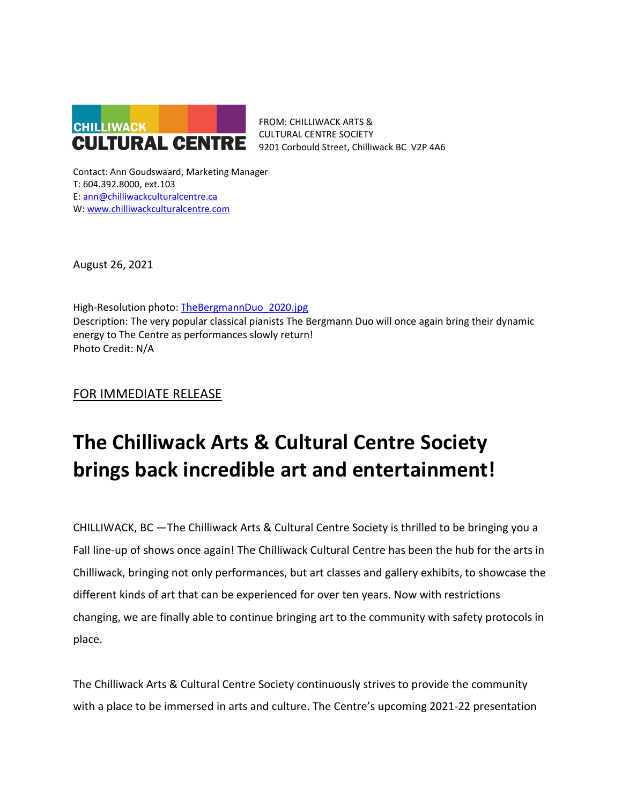

FROM: CHILLIWACK ARTS & CULTURAL CENTRE SOCIETY 9201 Corbould Street, Chilliwack BC V2P 4A6

Contact: Ann Goudswaard, Marketing Manager T: 604.392.8000, ext.103 E: [ann@chilliwackculturalcentre.ca](mailto:ann@chilliwackculturalcentre.ca) W: [www.chilliwackculturalcentre.com](http://www.chilliwackculturalcentre.com/)

August 26, 2021

High-Resolution photo: TheBergmannDuo 2020.jpg Description: The very popular classical pianists The Bergmann Duo will once again bring their dynamic energy to The Centre as performances slowly return! Photo Credit: N/A

FOR IMMEDIATE RELEASE

# **The Chilliwack Arts & Cultural Centre Society brings back incredible art and entertainment!**

CHILLIWACK, BC —The Chilliwack Arts & Cultural Centre Society is thrilled to be bringing you a Fall line-up of shows once again! The Chilliwack Cultural Centre has been the hub for the arts in Chilliwack, bringing not only performances, but art classes and gallery exhibits, to showcase the different kinds of art that can be experienced for over ten years. Now with restrictions changing, we are finally able to continue bringing art to the community with safety protocols in place.

The Chilliwack Arts & Cultural Centre Society continuously strives to provide the community with a place to be immersed in arts and culture. The Centre's upcoming 2021-22 presentation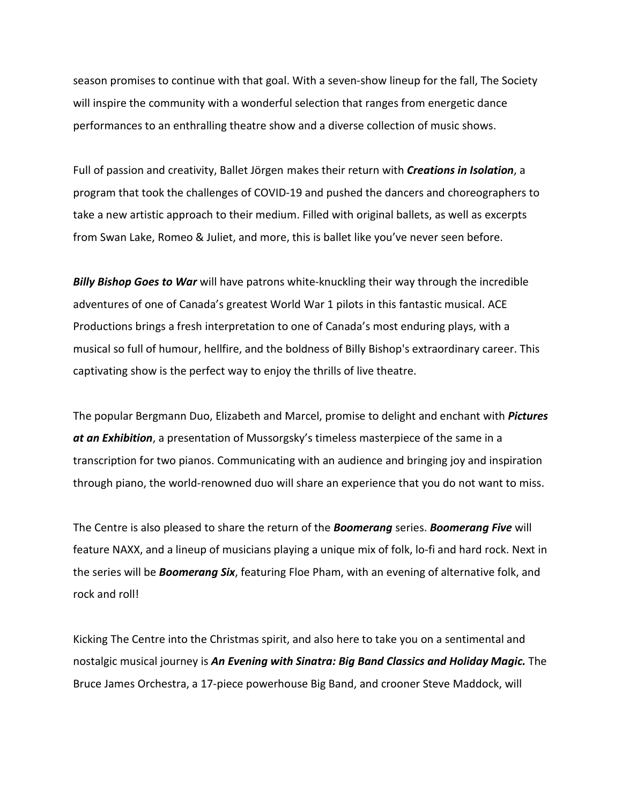season promises to continue with that goal. With a seven-show lineup for the fall, The Society will inspire the community with a wonderful selection that ranges from energetic dance performances to an enthralling theatre show and a diverse collection of music shows.

Full of passion and creativity, Ballet Jörgen makes their return with *Creations in Isolation*, a program that took the challenges of COVID-19 and pushed the dancers and choreographers to take a new artistic approach to their medium. Filled with original ballets, as well as excerpts from Swan Lake, Romeo & Juliet, and more, this is ballet like you've never seen before.

*Billy Bishop Goes to War* will have patrons white-knuckling their way through the incredible adventures of one of Canada's greatest World War 1 pilots in this fantastic musical. ACE Productions brings a fresh interpretation to one of Canada's most enduring plays, with a musical so full of humour, hellfire, and the boldness of Billy Bishop's extraordinary career. This captivating show is the perfect way to enjoy the thrills of live theatre.

The popular Bergmann Duo, Elizabeth and Marcel, promise to delight and enchant with *Pictures at an Exhibition*, a presentation of Mussorgsky's timeless masterpiece of the same in a transcription for two pianos. Communicating with an audience and bringing joy and inspiration through piano, the world-renowned duo will share an experience that you do not want to miss.

The Centre is also pleased to share the return of the *Boomerang* series. *Boomerang Five* will feature NAXX, and a lineup of musicians playing a unique mix of folk, lo-fi and hard rock. Next in the series will be *Boomerang Six*, featuring Floe Pham, with an evening of alternative folk, and rock and roll!

Kicking The Centre into the Christmas spirit, and also here to take you on a sentimental and nostalgic musical journey is *An Evening with Sinatra: Big Band Classics and Holiday Magic.* The Bruce James Orchestra, a 17-piece powerhouse Big Band, and crooner Steve Maddock, will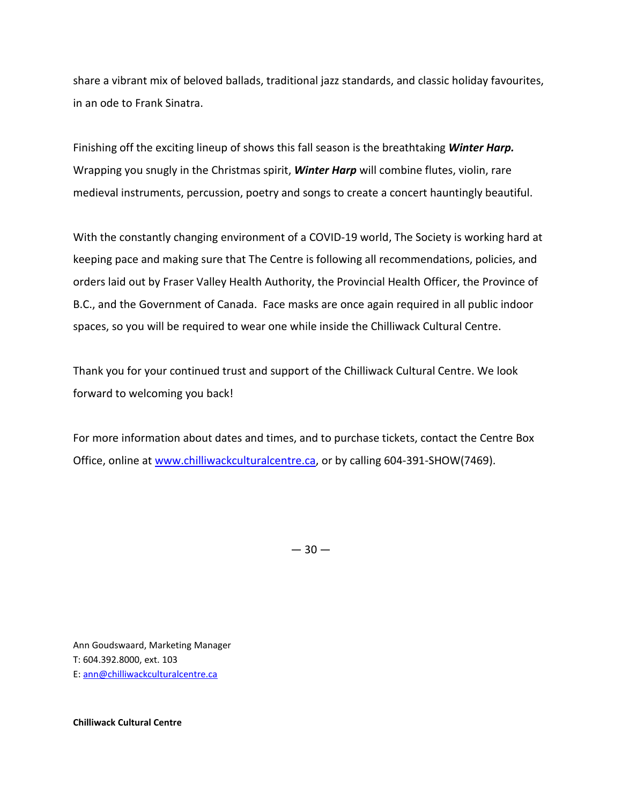share a vibrant mix of beloved ballads, traditional jazz standards, and classic holiday favourites, in an ode to Frank Sinatra.

Finishing off the exciting lineup of shows this fall season is the breathtaking *Winter Harp.*  Wrapping you snugly in the Christmas spirit, *Winter Harp* will combine flutes, violin, rare medieval instruments, percussion, poetry and songs to create a concert hauntingly beautiful.

With the constantly changing environment of a COVID-19 world, The Society is working hard at keeping pace and making sure that The Centre is following all recommendations, policies, and orders laid out by Fraser Valley Health Authority, the Provincial Health Officer, the Province of B.C., and the Government of Canada. Face masks are once again required in all public indoor spaces, so you will be required to wear one while inside the Chilliwack Cultural Centre.

Thank you for your continued trust and support of the Chilliwack Cultural Centre. We look forward to welcoming you back!

For more information about dates and times, and to purchase tickets, contact the Centre Box Office, online at [www.chilliwackculturalcentre.ca,](http://www.chilliwackculturalcentre.ca/) or by calling 604-391-SHOW(7469).

 $-30-$ 

Ann Goudswaard, Marketing Manager T: 604.392.8000, ext. 103 E: [ann@chilliwackculturalcentre.ca](mailto:ann@chilliwackculturalcentre.ca)

**Chilliwack Cultural Centre**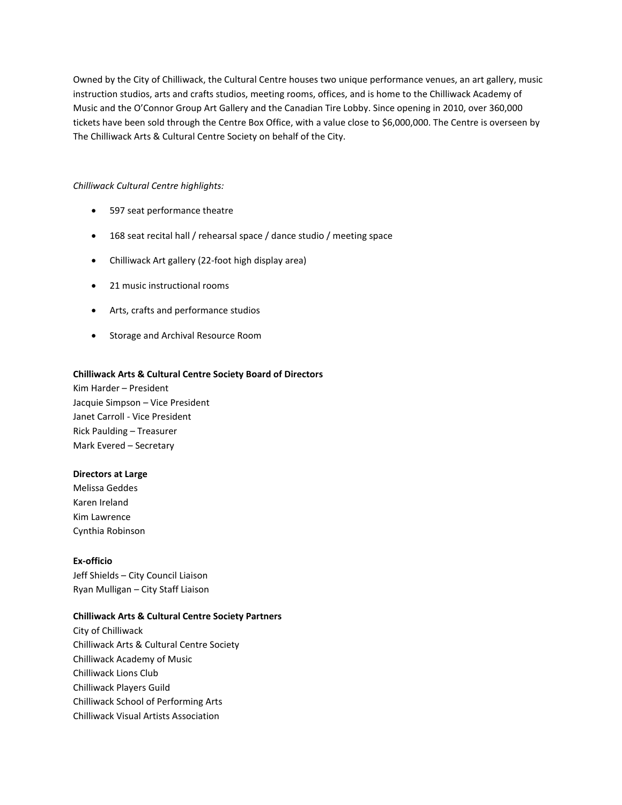Owned by the City of Chilliwack, the Cultural Centre houses two unique performance venues, an art gallery, music instruction studios, arts and crafts studios, meeting rooms, offices, and is home to the Chilliwack Academy of Music and the O'Connor Group Art Gallery and the Canadian Tire Lobby. Since opening in 2010, over 360,000 tickets have been sold through the Centre Box Office, with a value close to \$6,000,000. The Centre is overseen by The Chilliwack Arts & Cultural Centre Society on behalf of the City.

## *Chilliwack Cultural Centre highlights:*

- 597 seat performance theatre
- 168 seat recital hall / rehearsal space / dance studio / meeting space
- Chilliwack Art gallery (22-foot high display area)
- 21 music instructional rooms
- Arts, crafts and performance studios
- Storage and Archival Resource Room

## **Chilliwack Arts & Cultural Centre Society Board of Directors**

Kim Harder – President Jacquie Simpson – Vice President Janet Carroll - Vice President Rick Paulding – Treasurer Mark Evered – Secretary

#### **Directors at Large**

Melissa Geddes Karen Ireland Kim Lawrence Cynthia Robinson

#### **Ex-officio**

Jeff Shields – City Council Liaison Ryan Mulligan – City Staff Liaison

# **Chilliwack Arts & Cultural Centre Society Partners**

City of Chilliwack Chilliwack Arts & Cultural Centre Society Chilliwack Academy of Music Chilliwack Lions Club Chilliwack Players Guild Chilliwack School of Performing Arts Chilliwack Visual Artists Association